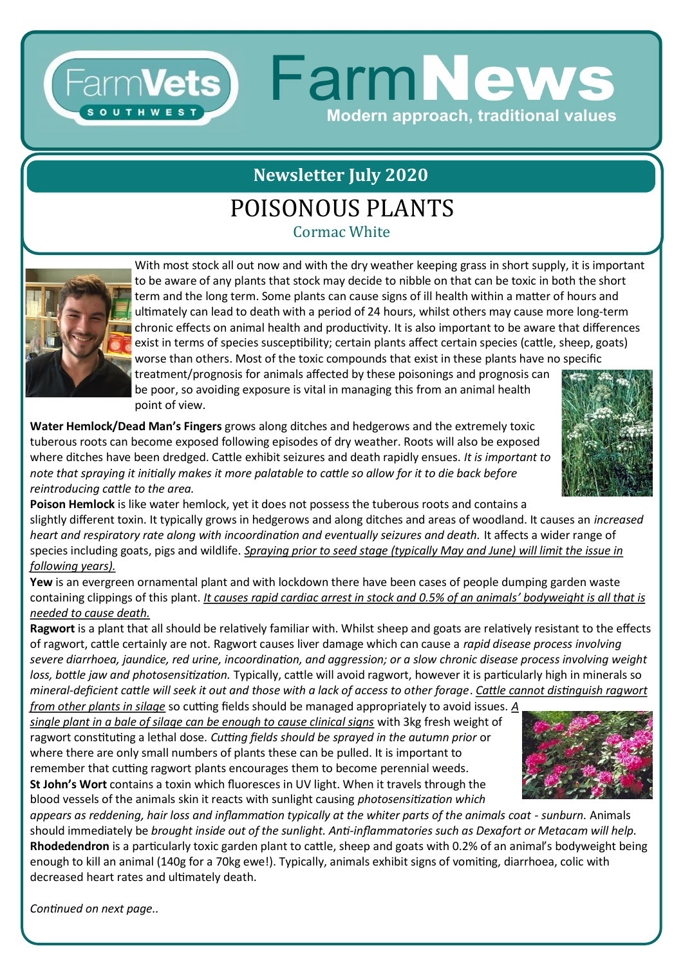# FarmVets) FarmNews Modern approach, traditional values

# **Newsletter July 2020**

## POISONOUS PLANTS

Cormac White



With most stock all out now and with the dry weather keeping grass in short supply, it is important to be aware of any plants that stock may decide to nibble on that can be toxic in both the short term and the long term. Some plants can cause signs of ill health within a matter of hours and ultimately can lead to death with a period of 24 hours, whilst others may cause more long-term chronic effects on animal health and productivity. It is also important to be aware that differences exist in terms of species susceptibility; certain plants affect certain species (cattle, sheep, goats) worse than others. Most of the toxic compounds that exist in these plants have no specific treatment/prognosis for animals affected by these poisonings and prognosis can

be poor, so avoiding exposure is vital in managing this from an animal health point of view.

**Water Hemlock/Dead Man's Fingers** grows along ditches and hedgerows and the extremely toxic tuberous roots can become exposed following episodes of dry weather. Roots will also be exposed where ditches have been dredged. Cattle exhibit seizures and death rapidly ensues. *It is important to note that spraying it initially makes it more palatable to cattle so allow for it to die back before reintroducing cattle to the area.*



**Poison Hemlock** is like water hemlock, yet it does not possess the tuberous roots and contains a slightly different toxin. It typically grows in hedgerows and along ditches and areas of woodland. It causes an *increased heart and respiratory rate along with incoordination and eventually seizures and death.* It affects a wider range of species including goats, pigs and wildlife. *Spraying prior to seed stage (typically May and June) will limit the issue in following years).*

**Yew** is an evergreen ornamental plant and with lockdown there have been cases of people dumping garden waste containing clippings of this plant. *It causes rapid cardiac arrest in stock and 0.5% of an animals' bodyweight is all that is needed to cause death.*

**Ragwort** is a plant that all should be relatively familiar with. Whilst sheep and goats are relatively resistant to the effects of ragwort, cattle certainly are not. Ragwort causes liver damage which can cause a *rapid disease process involving severe diarrhoea, jaundice, red urine, incoordination, and aggression; or a slow chronic disease process involving weight loss, bottle jaw and photosensitization.* Typically, cattle will avoid ragwort, however it is particularly high in minerals so *mineral-deficient cattle will seek it out and those with a lack of access to other forage*. *Cattle cannot distinguish ragwort* 

*from other plants in silage* so cutting fields should be managed appropriately to avoid issues. *A single plant in a bale of silage can be enough to cause clinical signs* with 3kg fresh weight of ragwort constituting a lethal dose. *Cutting fields should be sprayed in the autumn prior* or where there are only small numbers of plants these can be pulled. It is important to remember that cutting ragwort plants encourages them to become perennial weeds. **St John's Wort** contains a toxin which fluoresces in UV light. When it travels through the blood vessels of the animals skin it reacts with sunlight causing *photosensitization which* 

*appears as reddening, hair loss and inflammation typically at the whiter parts of the animals coat - sunburn.* Animals should immediately be *brought inside out of the sunlight. Anti-inflammatories such as Dexafort or Metacam will help.* **Rhodedendron** is a particularly toxic garden plant to cattle, sheep and goats with 0.2% of an animal's bodyweight being enough to kill an animal (140g for a 70kg ewe!). Typically, animals exhibit signs of vomiting, diarrhoea, colic with decreased heart rates and ultimately death.

*Continued on next page..*